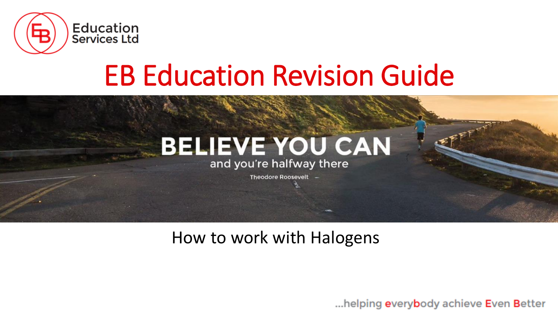

# EB Education Revision Guide

## **BELIEVE YOU CAN**

and you're halfway there

Theodore Roosevelt -

### How to work with Halogens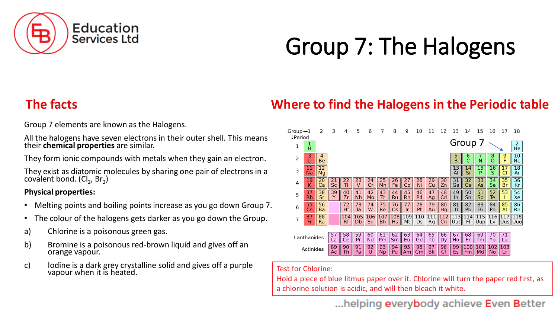

## Group 7: The Halogens

Group 7 elements are known as the Halogens.

All the halogens have seven electrons in their outer shell. This means their **chemical properties** are similar.

They form ionic compounds with metals when they gain an electron.

They exist as diatomic molecules by sharing one pair of electrons in a coválent bond. (Cl $_2$ , Br $_2$ )

#### **Physical properties:**

- Melting points and boiling points increase as you go down Group 7.
- The colour of the halogens gets darker as you go down the Group.
- a) Chlorine is a poisonous green gas.
- b) Bromine is a poisonous red-brown liquid and gives off an orange vapour.
- c) Iodine is a dark grey crystalline solid and gives off a purple Vapour when it is heated.<br>Vapour when it is heated.

#### **The facts Where to find the Halogens in the Periodic table**



Hold a piece of blue litmus paper over it. Chlorine will turn the paper red first, as a chlorine solution is acidic, and will then bleach it white.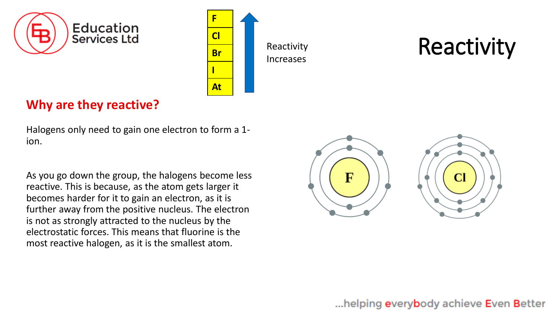



Reactivity Increases

## Reactivity

### **Why are they reactive?**

Halogens only need to gain one electron to form a 1 ion.

As you go down the group, the halogens become less reactive. This is because, as the atom gets larger it becomes harder for it to gain an electron, as it is further away from the positive nucleus. The electron is not as strongly attracted to the nucleus by the electrostatic forces. This means that fluorine is the most reactive halogen, as it is the smallest atom.

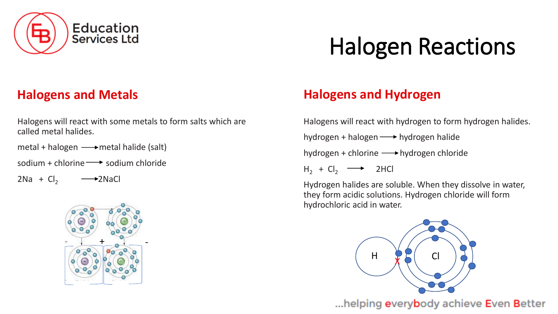

## Halogen Reactions

#### **Halogens and Metals**

Halogens will react with some metals to form salts which are called metal halides.

metal + halogen  $\longrightarrow$  metal halide (salt)

sodium + chlorine  $\rightarrow$  sodium chloride

 $2Na + Cl<sub>2</sub>$   $\longrightarrow$   $2NaCl$ 



### **Halogens and Hydrogen**

Halogens will react with hydrogen to form hydrogen halides.

hydrogen + halogen  $\longrightarrow$  hydrogen halide

hydrogen + chlorine  $\longrightarrow$  hydrogen chloride

 $H_2 + Cl_2 \longrightarrow$  2HCl

Hydrogen halides are soluble. When they dissolve in water, they form acidic solutions. Hydrogen chloride will form hydrochloric acid in water.

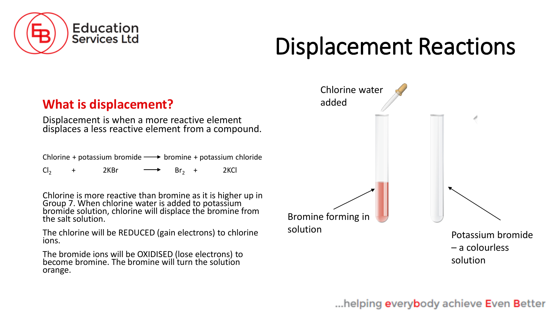

## Displacement Reactions

#### **What is displacement?**

Displacement is when a more reactive element displaces a less reactive element from a compound.

Chlorine + potassium bromide  $\longrightarrow$  bromine + potassium chloride

 $Cl_2$  + 2KBr  $\longrightarrow$  Br<sub>2</sub> + 2KCl

Chlorine is more reactive than bromine as it is higher up in Group 7. When chlorine water is added to potassium bromide solution, chlorine will displace the bromine from the salt solution.

The chlorine will be REDUCED (gain electrons) to chlorine ions.

The bromide ions will be OXIDISED (lose electrons) to become bromine. The bromine will turn the solution orange.

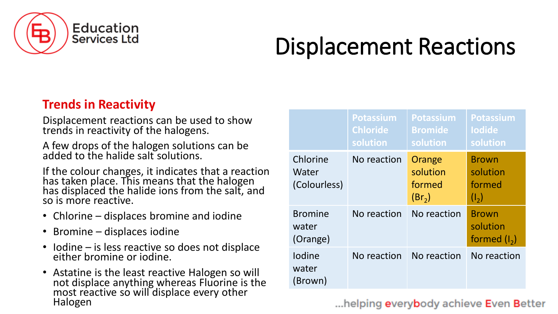

## Displacement Reactions

### **Trends in Reactivity**

Displacement reactions can be used to show trends in reactivity of the halogens.

A few drops of the halogen solutions can be added to the halide salt solutions.

If the colour changes, it indicates that a reaction has taken place. This means that the halogen has displaced the halide ions from the salt, and so is more reactive.

- Chlorine displaces bromine and iodine
- Bromine displaces iodine
- Iodine is less reactive so does not displace either bromine or iodine.
- Astatine is the least reactive Halogen so will not displace anything whereas Fluorine is the most reactive so will displace every other Halogen

|                                     | <b>Potassium</b><br><b>Chloride</b><br>solution | <b>Potassium</b><br><b>Bromide</b><br>solution     | Potassium<br><b>lodide</b><br>solution        |
|-------------------------------------|-------------------------------------------------|----------------------------------------------------|-----------------------------------------------|
| Chlorine<br>Water<br>(Colourless)   | No reaction                                     | Orange<br>solution<br>formed<br>(Br <sub>2</sub> ) | <b>Brown</b><br>solution<br>formed<br>$(I_2)$ |
| <b>Bromine</b><br>water<br>(Orange) | No reaction                                     | No reaction                                        | <b>Brown</b><br>solution<br>formed $(I_2)$    |
| <b>lodine</b><br>water<br>(Brown)   | No reaction                                     | No reaction                                        | No reaction                                   |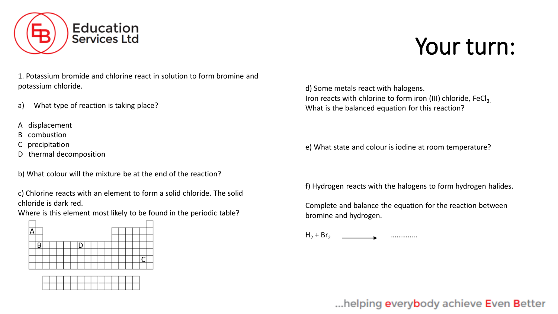

1. Potassium bromide and chlorine react in solution to form bromine and potassium chloride.

- a) What type of reaction is taking place?
- A displacement
- B combustion
- C precipitation
- D thermal decomposition

b) What colour will the mixture be at the end of the reaction?

c) Chlorine reacts with an element to form a solid chloride. The solid chloride is dark red.

Where is this element most likely to be found in the periodic table?





d) Some metals react with halogens. Iron reacts with chlorine to form iron (III) chloride, FeCl<sub>3</sub>. What is the balanced equation for this reaction?

e) What state and colour is iodine at room temperature?

f) Hydrogen reacts with the halogens to form hydrogen halides.

Complete and balance the equation for the reaction between bromine and hydrogen.

 $H_2$  + Br<sub>2</sub>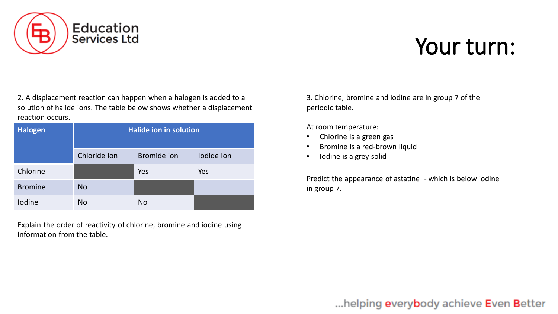

2. A displacement reaction can happen when a halogen is added to a solution of halide ions. The table below shows whether a displacement reaction occurs.

| <b>Halogen</b> | <b>Halide ion in solution</b> |             |            |  |
|----------------|-------------------------------|-------------|------------|--|
|                | Chloride ion                  | Bromide ion | lodide lon |  |
| Chlorine       |                               | Yes         | Yes        |  |
| <b>Bromine</b> | <b>No</b>                     |             |            |  |
| <b>lodine</b>  | <b>No</b>                     | <b>No</b>   |            |  |

Explain the order of reactivity of chlorine, bromine and iodine using information from the table.

3. Chlorine, bromine and iodine are in group 7 of the periodic table.

At room temperature:

- Chlorine is a green gas
- Bromine is a red-brown liquid
- Iodine is a grey solid

Predict the appearance of astatine - which is below iodine in group 7.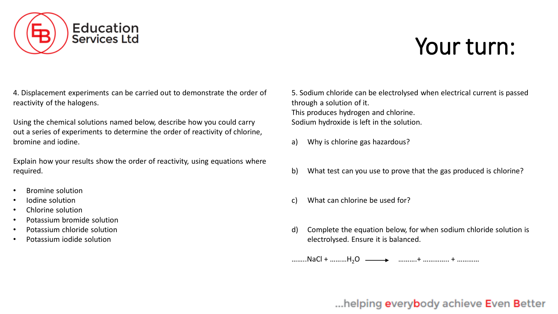

4. Displacement experiments can be carried out to demonstrate the order of reactivity of the halogens.

Using the chemical solutions named below, describe how you could carry out a series of experiments to determine the order of reactivity of chlorine, bromine and iodine.

Explain how your results show the order of reactivity, using equations where required.

- Bromine solution
- Iodine solution
- Chlorine solution
- Potassium bromide solution
- Potassium chloride solution
- Potassium iodide solution

5. Sodium chloride can be electrolysed when electrical current is passed through a solution of it. This produces hydrogen and chlorine. Sodium hydroxide is left in the solution.

- a) Why is chlorine gas hazardous?
- b) What test can you use to prove that the gas produced is chlorine?
- c) What can chlorine be used for?
- d) Complete the equation below, for when sodium chloride solution is electrolysed. Ensure it is balanced.

………NaCl + ………H<sub>2</sub>O ———> ………..+ ………….. + ………….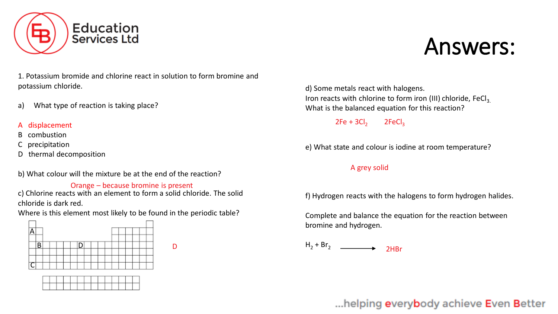

## Answers:

1. Potassium bromide and chlorine react in solution to form bromine and potassium chloride.

a) What type of reaction is taking place?

#### displacement

- B combustion
- C precipitation
- D thermal decomposition

b) What colour will the mixture be at the end of the reaction?

#### Orange – because bromine is present

c) Chlorine reacts with an element to form a solid chloride. The solid chloride is dark red.

Where is this element most likely to be found in the periodic table?

D





d) Some metals react with halogens. Iron reacts with chlorine to form iron (III) chloride, FeCl<sub>3</sub>. What is the balanced equation for this reaction?

 $2Fe + 3Cl<sub>2</sub>$   $2FeCl<sub>2</sub>$ 

e) What state and colour is iodine at room temperature?

#### A grey solid

f) Hydrogen reacts with the halogens to form hydrogen halides.

Complete and balance the equation for the reaction between bromine and hydrogen.

 $H_2 + Br_2$ 2HBr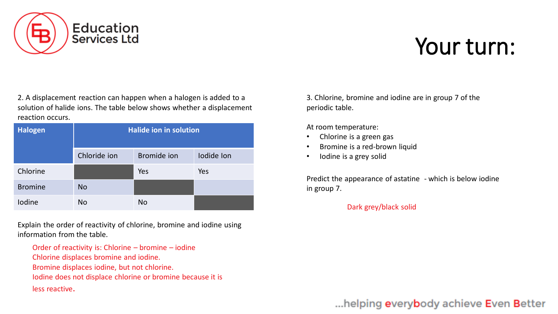

2. A displacement reaction can happen when a halogen is added to a solution of halide ions. The table below shows whether a displacement reaction occurs.

| <b>Halogen</b> |              | <b>Halide ion in solution</b> |            |
|----------------|--------------|-------------------------------|------------|
|                | Chloride ion | <b>Bromide</b> ion            | lodide lon |
| Chlorine       |              | Yes                           | Yes        |
| <b>Bromine</b> | <b>No</b>    |                               |            |
| Iodine         | <b>No</b>    | No                            |            |

Explain the order of reactivity of chlorine, bromine and iodine using information from the table.

Order of reactivity is: Chlorine – bromine – iodine

- Chlorine displaces bromine and iodine.
- Bromine displaces iodine, but not chlorine.
- Iodine does not displace chlorine or bromine because it is

less reactive.

3. Chlorine, bromine and iodine are in group 7 of the periodic table.

At room temperature:

- Chlorine is a green gas
- Bromine is a red-brown liquid
- Iodine is a grey solid

Predict the appearance of astatine - which is below iodine in group 7.

#### Dark grey/black solid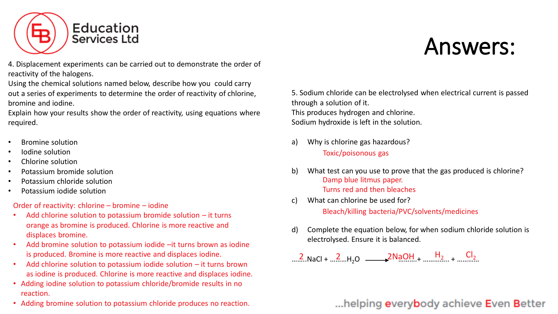

Answers:

4. Displacement experiments can be carried out to demonstrate the order of reactivity of the halogens.

Using the chemical solutions named below, describe how you could carry out a series of experiments to determine the order of reactivity of chlorine, bromine and iodine.

Explain how your results show the order of reactivity, using equations where required.

- Bromine solution
- Iodine solution
- Chlorine solution
- Potassium bromide solution
- Potassium chloride solution
- Potassium iodide solution

Order of reactivity: chlorine – bromine – iodine

- Add chlorine solution to potassium bromide solution  $-$  it turns orange as bromine is produced. Chlorine is more reactive and displaces bromine.
- Add bromine solution to potassium iodide –it turns brown as iodine is produced. Bromine is more reactive and displaces iodine.
- Add chlorine solution to potassium iodide solution it turns brown as iodine is produced. Chlorine is more reactive and displaces iodine.
- Adding iodine solution to potassium chloride/bromide results in no reaction.
- Adding bromine solution to potassium chloride produces no reaction.

5. Sodium chloride can be electrolysed when electrical current is passed through a solution of it. This produces hydrogen and chlorine. Sodium hydroxide is left in the solution.

- a) Why is chlorine gas hazardous? Toxic/poisonous gas
- b) What test can you use to prove that the gas produced is chlorine? Damp blue litmus paper. Turns red and then bleaches
- c) What can chlorine be used for? Bleach/killing bacteria/PVC/solvents/medicines
- d) Complete the equation below, for when sodium chloride solution is electrolysed. Ensure it is balanced.

 $\ldots$ .2. NaCl +  $\ldots$ .2. H<sub>2</sub>O  $\ldots$  2NaOH +  $\ldots$  H<sub>2</sub> +  $\ldots$  Cl<sub>2</sub>